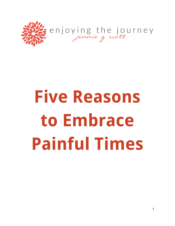

# **Five Reasons to Embrace Painful Times**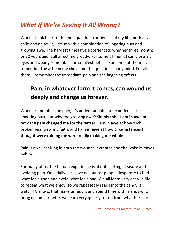# *What If We're Seeing It All Wrong?*

When I think back to the most painful experiences of my life, both as a child and an adult, I do so with a combination of lingering hurt and growing awe. The hardest times I've experienced, whether three months or 30 years ago, still affect me greatly. For some of them, I can close my eyes and clearly remember the smallest details. For some of them, I still remember the ache in my chest and the questions in my mind. For all of them, I remember the immediate pain and the lingering effects.

# **Pain, in whatever form it comes, can wound us deeply and change us forever.**

When I remember the pain, it's understandable to experience the lingering hurt, but why the growing awe? Simply this - **I am in awe at how the pain changed me for the better**. I am in awe at how such brokenness grew my faith, and **I am in awe at how circumstances I thought were ruining me were really making me whole.**

Pain is awe-inspiring in both the wounds it creates and the wake it leaves behind.

For many of us, the human experience is about seeking pleasure and avoiding pain. On a daily basis, we encounter people desperate to find what feels good and avoid what feels bad. We all learn very early in life to repeat what we enjoy, so we repeatedly reach into the candy jar, watch TV shows that make us laugh, and spend time with friends who bring us fun. Likewise, we learn very quickly to run from what hurts us.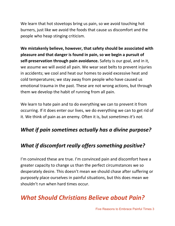We learn that hot stovetops bring us pain, so we avoid touching hot burners, just like we avoid the foods that cause us discomfort and the people who heap stinging criticism.

**We mistakenly believe, however, that safety should be associated with pleasure and that danger is found in pain, so we begin a pursuit of self-preservation through pain avoidance.** Safety is our goal, and in it, we assume we will avoid all pain. We wear seat belts to prevent injuries in accidents; we cool and heat our homes to avoid excessive heat and cold temperatures; we stay away from people who have caused us emotional trauma in the past. These are not wrong actions, but through them we develop the habit of running from all pain.

We learn to hate pain and to do everything we can to prevent it from occurring. If it does enter our lives, we do everything we can to get rid of it. We think of pain as an enemy. Often it is, but *sometimes it's not.*

#### *What if pain sometimes actually has a divine purpose?*

#### *What if discomfort really offers something positive?*

I'm convinced these are true. I'm convinced pain and discomfort have a greater capacity to change us than the perfect circumstances we so desperately desire. This doesn't mean we should chase after suffering or purposely place ourselves in painful situations, but this does mean we shouldn't run when hard times occur.

## *What Should Christians Believe about Pain?*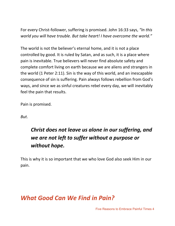For every Christ-follower, suffering is promised. John 16:33 says, *"In this world you will have trouble. But take heart! I have overcome the world."*

The world is not the believer's eternal home, and it is not a place controlled by good. It is ruled by Satan, and as such, it is a place where pain is inevitable. True believers will never find absolute safety and complete comfort living on earth because we are aliens and strangers in the world (1 Peter 2:11). Sin is the way of this world, and an inescapable consequence of sin is suffering. Pain always follows rebellion from God's ways, and since we as sinful creatures rebel every day, we will inevitably feel the pain that results.

Pain is promised.

*But*.

## *Christ does not leave us alone in our suffering, and we are not left to suffer without a purpose or without hope.*

This is why it is so important that we who love God also seek Him in our pain.

### *What Good Can We Find in Pain?*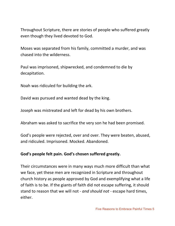Throughout Scripture, there are stories of people who suffered greatly even though they lived devoted to God.

Moses was separated from his family, committed a murder, and was chased into the wilderness.

Paul was imprisoned, shipwrecked, and condemned to die by decapitation.

Noah was ridiculed for building the ark.

David was pursued and wanted dead by the king.

Joseph was mistreated and left for dead by his own brothers.

Abraham was asked to sacrifice the very son he had been promised.

God's people were rejected, over and over. They were beaten, abused, and ridiculed. Imprisoned. Mocked. Abandoned.

#### **God's people felt pain. God's chosen suffered greatly.**

Their circumstances were in many ways much more difficult than what we face, yet these men are recognized in Scripture and throughout church history as people approved by God and exemplifying what a life of faith is to be. If the giants of faith did not escape suffering, it should stand to reason that we will not - *and should not* - escape hard times, either.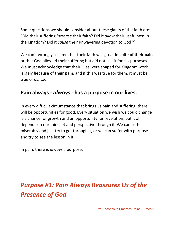Some questions we should consider about these giants of the faith are: "Did their suffering *increase* their faith? Did it *allow* their usefulness in the Kingdom? Did it *cause* their unwavering devotion to God?"

We can't wrongly assume that their faith was great **in spite of their pain** or that God allowed their suffering but did not use it for His purposes. We must acknowledge that their lives were shaped for Kingdom work largely **because of their pain**, and if this was true for them, it must be true of us, too.

#### **Pain always -** *always* **- has a purpose in our lives.**

In every difficult circumstance that brings us pain and suffering, there will be opportunities for good. Every situation we wish we could change is a chance for growth and an opportunity for revelation, but it all depends on our mindset and perspective through it. We can suffer miserably and just try to get through it, or we can suffer with purpose and try to see the lesson in it.

In pain, there is *always* a purpose.

# *Purpose #1: Pain Always Reassures Us of the Presence of God*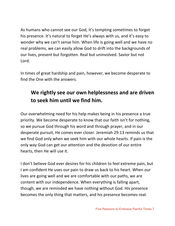As humans who cannot see our God, it's tempting sometimes to forget his presence. It's natural to forget He's always with us, and it's easy to wonder why we can't sense him. When life is going well and we have no real problems, we can easily allow God to drift into the backgrounds of our lives, present but forgotten. Real but uninvolved. Savior but not Lord.

In times of great hardship and pain, however, we become desperate to find the One with the answers.

## **We rightly see our own helplessness and are driven to seek him until we find him.**

Our overwhelming need for his help makes being in his presence a true priority. We become desperate to know that our faith isn't for nothing, so we pursue God through his word and through prayer, and in our desperate pursuit, He comes ever closer. Jeremiah 29:13 reminds us that we find God only when we seek him with our whole hearts. If pain is the only way God can get our attention and the devotion of our entire hearts, then He will use it.

I don't believe God ever desires for his children to feel extreme pain, but I am confident He uses our pain to draw us back to his heart. When our lives are going well and we are comfortable with our paths, we are content with our independence. When everything is falling apart, though, we are reminded we have nothing without God. His presence becomes the only thing that matters, and his presence becomes real.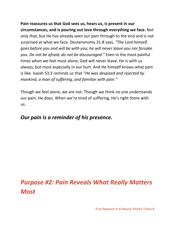**Pain reassures us that God sees us, hears us, is present in our circumstances, and is pouring out love through everything we face.** Not only that, but He has already seen our pain through to the end and is not surprised at what we face. Deuteronomy 31:8 says, *"The Lord himself goes before you and will be with you; he will never leave you nor forsake you. Do not be afraid; do not be discouraged."* Even in the most painful times when we feel most alone, God will never leave. He is with us always, but most especially in our hurt. And He himself knows what pain is like. Isaiah 53:3 reminds us that "*He was despised and rejected by mankind, a man of suffering, and familiar with pain."*

Though we feel alone, we are not. Though we think no one understands our pain, He does. When we're tired of suffering, He's right there with us.

#### *Our pain is a reminder of his presence.*

# *Purpose #2: Pain Reveals What Really Matters Most*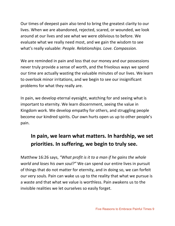Our times of deepest pain also tend to bring the greatest clarity to our lives. When we are abandoned, rejected, scared, or wounded, we look around at our lives and see what we were oblivious to before. We evaluate what we really need most, and we gain the wisdom to see what's really valuable: *People. Relationships. Love. Compassion.*

We are reminded in pain and loss that our money and our possessions never truly provide a sense of worth, and the frivolous ways we spend our time are actually wasting the valuable minutes of our lives. We learn to overlook minor irritations, and we begin to see our insignificant problems for what they really are.

In pain, we develop eternal eyesight, watching for and seeing what is important to eternity. We learn discernment, seeing the value in Kingdom work. We develop empathy for others, and struggling people become our kindred spirits. Our own hurts open us up to other people's pain.

## **In pain, we learn what matters. In hardship, we set priorities. In suffering, we begin to truly see.**

Matthew 16:26 says, *"What profit is it to a man if he gains the whole world and loses his own soul?"* We can spend our entire lives in pursuit of things that do not matter for eternity, and in doing so, we can forfeit our very souls. Pain can wake us up to the reality that what we pursue is a waste and that what we value is worthless. Pain awakens us to the invisible realities we let ourselves so easily forget.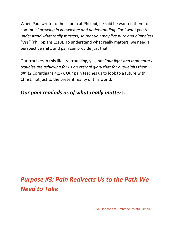When Paul wrote to the church at Philippi, he said he wanted them to continue "*growing in knowledge and understanding. For I want you to understand what really matters, so that you may live pure and blameless lives"* (Philippians 1:10)*.* To understand what really matters, we need a perspective shift, and pain can provide just that.

Our troubles in this life are troubling, yes, but "*our light and momentary troubles are achieving for us an eternal glory that far outweighs them all"* (2 Corinthians 4:17). Our pain teaches us to look to a future with Christ, not just to the present reality of this world.

#### *Our pain reminds us of what really matters.*

# *Purpose #3: Pain Redirects Us to the Path We Need to Take*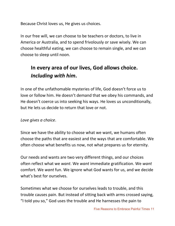Because Christ loves us, He gives us choices.

In our free will, we can choose to be teachers or doctors, to live in America or Australia, and to spend frivolously or save wisely. We can choose healthful eating, we can choose to remain single, and we can choose to sleep until noon.

## **In every area of our lives, God allows choice.** *Including with him***.**

In one of the unfathomable mysteries of life, God doesn't force us to love or follow him. He doesn't demand that we obey his commands, and He doesn't coerce us into seeking his ways. He loves us unconditionally, but He lets us decide to return that love or not.

*Love gives a choice*.

Since we have the ability to choose what we want, we humans often choose the paths that are easiest and the ways that are comfortable. We often choose what benefits us now, not what prepares us for eternity.

Our needs and wants are two very different things, and our choices often reflect what we *want*. We *want* immediate gratification. We *want* comfort. We *want* fun. We ignore what God wants for us, and we decide what's best for ourselves.

Sometimes what we choose for ourselves leads to trouble, and this trouble causes pain. But instead of sitting back with arms crossed saying, "I told you so," God uses the trouble and He harnesses the pain to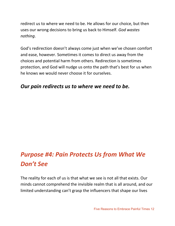redirect us to where we need to be. He allows for our choice, but then uses our wrong decisions to bring us back to Himself. *God wastes nothing*.

God's redirection doesn't always come just when we've chosen comfort and ease, however. Sometimes it comes to direct us away from the choices and potential harm from others. Redirection is sometimes protection, and God will nudge us onto the path that's best for us when he knows we would never choose it for ourselves.

#### *Our pain redirects us to where we need to be.*

# *Purpose #4: Pain Protects Us from What We Don't See*

The reality for each of us is that what we see is not all that exists. Our minds cannot comprehend the invisible realm that is all around, and our limited understanding can't grasp the influencers that shape our lives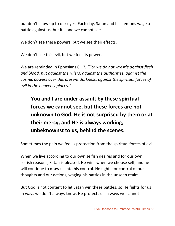but don't show up to our eyes. Each day, Satan and his demons wage a battle against us, but it's one we cannot see.

We don't see these powers, but we see their effects.

We don't see this evil, but we feel its power.

We are reminded in Ephesians 6:12, *"For we do not wrestle against flesh and blood, but against the rulers, against the authorities, against the cosmic powers over this present darkness, against the spiritual forces of evil in the heavenly places."*

# **You and I are under assault by these spiritual forces we cannot see, but these forces are not unknown to God. He is not surprised by them or at their mercy, and He is always working, unbeknownst to us, behind the scenes.**

Sometimes the pain we feel is protection from the spiritual forces of evil.

When we live according to our own selfish desires and for our own selfish reasons, Satan is pleased. He wins when we choose self, and he will continue to draw us into his control. He fights for control of our thoughts and our actions, waging his battles in the unseen realm.

But God is not content to let Satan win these battles, so He fights for us in ways we don't always know. He protects us in ways we cannot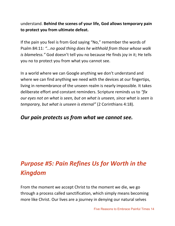understand. **Behind the scenes of your life, God allows temporary pain to protect you from ultimate defeat.**

If the pain you feel is from God saying "No," remember the words of Psalm 84:11: *"...no good thing does he withhold from those whose walk is blameless."* God doesn't tell you no because He finds joy in it; He tells you no to protect you from what you cannot see.

In a world where we can Google anything we don't understand and where we can find anything we need with the devices at our fingertips, living in remembrance of the unseen realm is nearly impossible. It takes deliberate effort and constant reminders. Scripture reminds us to *"fix our eyes not on what is seen, but on what is unseen, since what is seen is temporary, but what is unseen is eternal"* (2 Corinthians 4:18).

#### *Our pain protects us from what we cannot see.*

# *Purpose #5: Pain Refines Us for Worth in the Kingdom*

From the moment we accept Christ to the moment we die, we go through a process called sanctification, which simply means becoming more like Christ. Our lives are a journey in denying our natural selves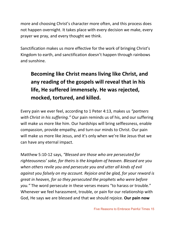more and choosing Christ's character more often, and this process does not happen overnight. It takes place with every decision we make, every prayer we pray, and every thought we think.

Sanctification makes us more effective for the work of bringing Christ's Kingdom to earth, and sanctification doesn't happen through rainbows and sunshine.

# **Becoming like Christ means living like Christ, and any reading of the gospels will reveal that in his life, He suffered immensely. He was rejected, mocked, tortured, and killed.**

Every pain we ever feel, according to 1 Peter 4:13, makes us *"partners with Christ in his suffering."* Our pain reminds us of his, and our suffering will make us more like him. Our hardships will bring selflessness, enable compassion, provide empathy, and turn our minds to Christ. Our pain will make us more like Jesus, and it's only when we're like Jesus that we can have any eternal impact.

Matthew 5:10-12 says, *"Blessed are those who are persecuted for righteousness' sake, for theirs is the kingdom of heaven. Blessed are you when others revile you and persecute you and utter all kinds of evil against you falsely on my account. Rejoice and be glad, for your reward is great in heaven, for so they persecuted the prophets who were before you."* The word persecute in these verses means "to harass or trouble." Whenever we feel harassment, trouble, or pain for our relationship with God, He says we are blessed and that we should rejoice. **Our pain now**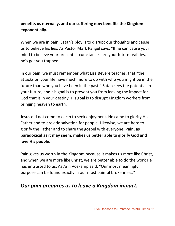#### **benefits us eternally, and our suffering now benefits the Kingdom exponentially.**

When we are in pain, Satan's ploy is to disrupt our thoughts and cause us to believe his lies. As Pastor Mark Pangel says, "If he can cause your mind to believe your present circumstances are your future realities, he's got you trapped."

In our pain, we must remember what Lisa Bevere teaches, that "the attacks on your life have much more to do with who you might be in the future than who you have been in the past." Satan sees the potential in your future, and his goal is to prevent you from leaving the impact for God that is in your destiny. His goal is to disrupt Kingdom workers from bringing heaven to earth.

Jesus did not come to earth to seek enjoyment. He came to glorify His Father and to provide salvation for people. Likewise, we are here to glorify the Father and to share the gospel with everyone. **Pain, as paradoxical as it may seem, makes us better able to glorify God and love His people.**

Pain gives us worth in the Kingdom because it makes us more like Christ, and when we are more like Christ, we are better able to do the work He has entrusted to us. As Ann Voskamp said, "Our most meaningful purpose can be found exactly in our most painful brokenness."

#### *Our pain prepares us to leave a Kingdom impact.*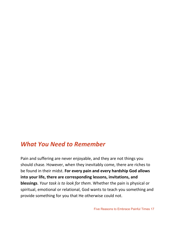## *What You Need to Remember*

Pain and suffering are never enjoyable, and they are not things you should chase. However, when they inevitably come, there are riches to be found in their midst. **For every pain and every hardship God allows into your life, there are corresponding lessons, invitations, and blessings**. *Your task is to look for them*. Whether the pain is physical or spiritual, emotional or relational, God wants to teach you something and provide something for you that He otherwise could not.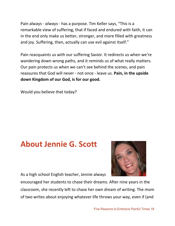Pain always - *always* - has a purpose. Tim Keller says, "This is a remarkable view of suffering, that if faced and endured with faith, it can in the end only make us better, stronger, and more filled with greatness and joy. Suffering, then, actually can use evil against itself."

Pain reacquaints us with our suffering Savior. It redirects us when we're wandering down wrong paths, and it reminds us of what really matters. Our pain protects us when we can't see behind the scenes, and pain reassures that God will never - not once - leave us. **Pain, in the upside down Kingdom of our God, is for our good.**

Would you believe that today?

# **About Jennie G. Scott**



As a high school English teacher, Jennie always

encouraged her students to chase their dreams. After nine years in the classroom, she recently left to chase her own dream of writing. The mom of two writes about enjoying whatever life throws your way, even if (and